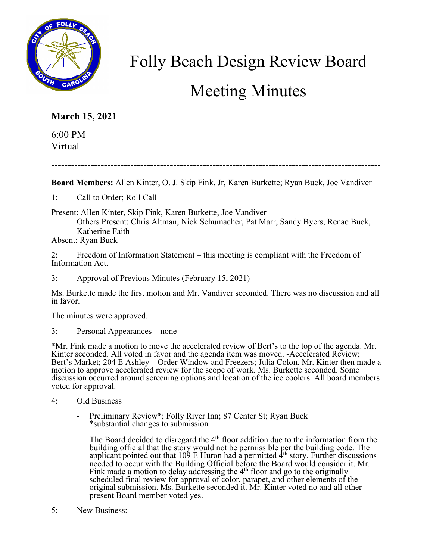

## Folly Beach Design Review Board Meeting Minutes

## **March 15, 2021**

6:00 PM Virtual

----------------------------------------------------------------------------------------------------

**Board Members:** Allen Kinter, O. J. Skip Fink, Jr, Karen Burkette; Ryan Buck, Joe Vandiver

1: Call to Order; Roll Call

Present: Allen Kinter, Skip Fink, Karen Burkette, Joe Vandiver

Others Present: Chris Altman, Nick Schumacher, Pat Marr, Sandy Byers, Renae Buck, Katherine Faith

Absent: Ryan Buck

2: Freedom of Information Statement – this meeting is compliant with the Freedom of Information Act.

3: Approval of Previous Minutes (February 15, 2021)

Ms. Burkette made the first motion and Mr. Vandiver seconded. There was no discussion and all in favor.

The minutes were approved.

3: Personal Appearances – none

\*Mr. Fink made a motion to move the accelerated review of Bert's to the top of the agenda. Mr. Kinter seconded. All voted in favor and the agenda item was moved. -Accelerated Review; Bert's Market; 204 E Ashley – Order Window and Freezers; Julia Colon. Mr. Kinter then made a motion to approve accelerated review for the scope of work. Ms. Burkette seconded. Some discussion occurred around screening options and location of the ice coolers. All board members voted for approval.

- 4: Old Business
	- Preliminary Review\*; Folly River Inn; 87 Center St; Ryan Buck \*substantial changes to submission

The Board decided to disregard the  $4<sup>th</sup>$  floor addition due to the information from the building official that the story would not be permissible per the building code. The applicant pointed out that 109 E Huron had a permitted  $4<sup>th</sup>$  story. Further discussions needed to occur with the Building Official before the Board would consider it. Mr. Fink made a motion to delay addressing the  $4<sup>th</sup>$  floor and go to the originally scheduled final review for approval of color, parapet, and other elements of the original submission. Ms. Burkette seconded it. Mr. Kinter voted no and all other present Board member voted yes.

5: New Business: